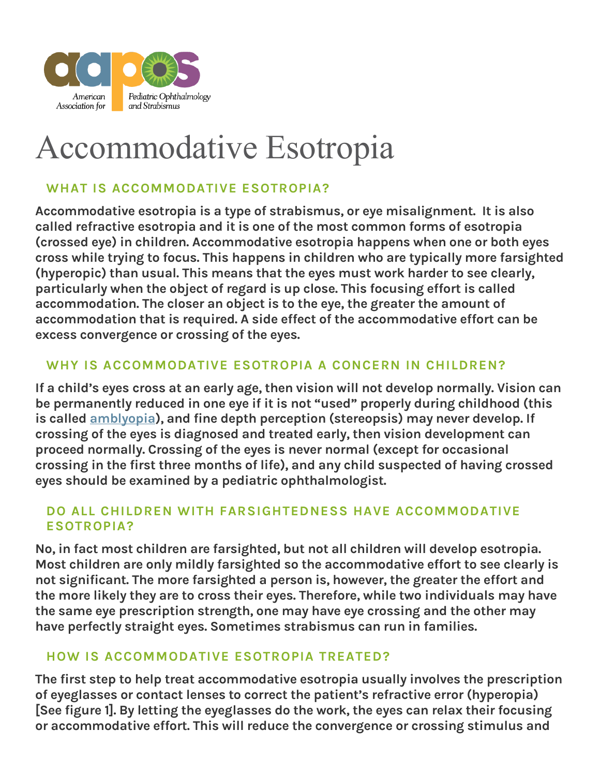

# Accommodative Esotropia

## **WHAT IS ACCOMMODATIVE ESOTROPIA?**

Accommodative esotropia is a type of strabismus, or eye misalignment. It is also called refractive esotropia and it is one of the most common forms of esotropia (crossed eye) in children. Accommodative esotropia happens when one or both eyes cross while trying to focus. This happens in children who are typically more farsighted (hyperopic) than usual. This means that the eyes must work harder to see clearly, particularly when the object of regard is up close. This focusing effort is called accommodation. The closer an object is to the eye, the greater the amount of accommodation that is required. A side effect of the accommodative effort can be excess convergence or crossing of the eyes.

## **WHY IS ACCOMMODATIVE ESOTROPIA A CONCERN IN CHILDREN?**

If a child's eyes cross at an early age, then vision will not develop normally. Vision can be permanently reduced in one eye if it is not "used" properly during childhood (this is called **[amblyopia\)](https://aapos.org/glossary/amblyopia), and fine depth perception** (stereopsis) may never develop. If crossing of the eyes is diagnosed and treated early, then vision development can proceed normally. Crossing of the eyes is never normal (except for occasional crossing in the first three months of life), and any child suspected of having crossed eyes should be examined by a pediatric ophthalmologist.

## **DO ALL CHILDREN WITH FARSIGHTEDNESS HAVE ACCOMMODATIVE ESOTROPIA?**

No, in fact most children are farsighted, but not all children will develop esotropia. Most children are only mildly farsighted so the accommodative effort to see clearly is not significant. The more farsighted a person is, however, the greater the effort and the more likely they are to cross their eyes. Therefore, while two individuals may have the same eye prescription strength, one may have eye crossing and the other may have perfectly straight eyes. Sometimes strabismus can run in families.

#### **HOW IS ACCOMMODATIVE ESOTROPIA TREATED?**

The first step to help treat accommodative esotropia usually involves the prescription of eyeglasses or contact lenses to correct the patient's refractive error (hyperopia) [See figure 1]. By letting the eyeglasses do the work, the eyes can relax their focusing or accommodative effort. This will reduce the convergence or crossing stimulus and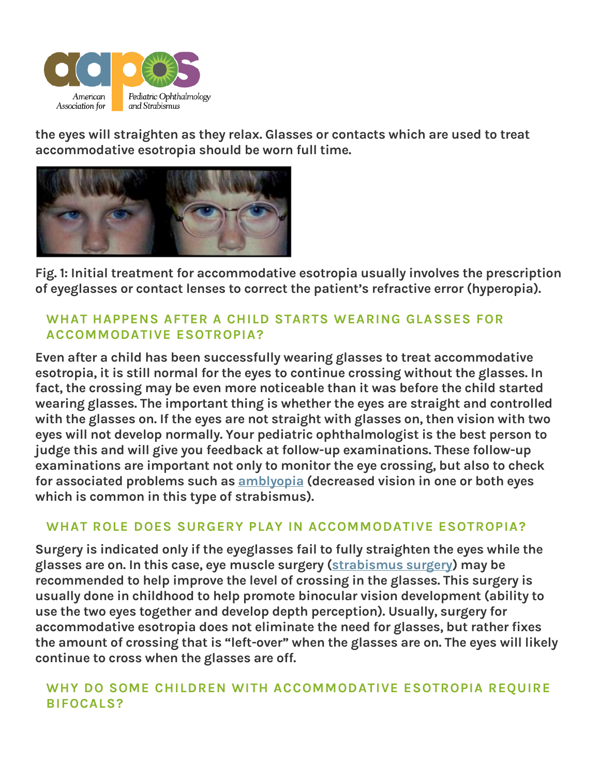

the eyes will straighten as they relax. Glasses or contacts which are used to treat accommodative esotropia should be worn full time.



**Fig. 1:** Initial treatment for accommodative esotropia usually involves the prescription of eyeglasses or contact lenses to correct the patient's refractive error (hyperopia).

## **WHAT HAPPENS AFTER A CHILD STARTS WEARING GLASSES FOR ACCOMMODATIVE ESOTROPIA?**

Even after a child has been successfully wearing glasses to treat accommodative esotropia, it is still normal for the eyes to continue crossing without the glasses. In fact, the crossing may be even more noticeable than it was before the child started wearing glasses. The important thing is whether the eyes are straight and controlled with the glasses on. If the eyes are not straight with glasses on, then vision with two eyes will not develop normally. Your pediatric ophthalmologist is the best person to judge this and will give you feedback at follow-up examinations. These follow-up examinations are important not only to monitor the eye crossing, but also to check for associated problems such as [amblyopia](https://aapos.org/glossary/amblyopia) (decreased vision in one or both eyes which is common in this type of strabismus).

## **WHAT ROLE DOES SURGERY PLAY IN ACCOMMODATIVE ESOTROPIA?**

Surgery is indicated only if the eyeglasses fail to fully straighten the eyes while the glasses are on. In this case, eye muscle surgery [\(strabismus surgery\)](https://aapos.org/glossary/strabismus-surgery) may be recommended to help improve the level of crossing in the glasses. This surgery is usually done in childhood to help promote binocular vision development (ability to use the two eyes together and develop depth perception). Usually, surgery for accommodative esotropia does not eliminate the need for glasses, but rather fixes the amount of crossing that is "left-over" when the glasses are on. The eyes will likely continue to cross when the glasses are off.

## **WHY DO SOME CHILDREN WITH ACCOMMODATIVE ESOTROPIA REQUIRE BIFOCALS?**